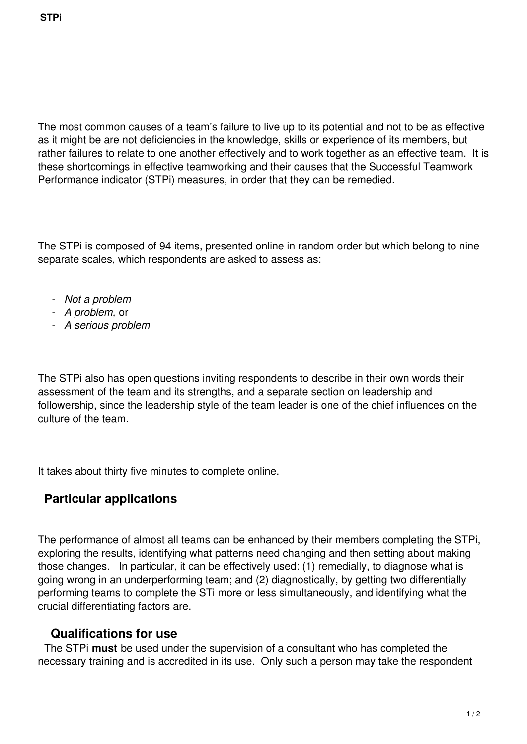The most common causes of a team's failure to live up to its potential and not to be as effective as it might be are not deficiencies in the knowledge, skills or experience of its members, but rather failures to relate to one another effectively and to work together as an effective team. It is these shortcomings in effective teamworking and their causes that the Successful Teamwork Performance indicator (STPi) measures, in order that they can be remedied.

The STPi is composed of 94 items, presented online in random order but which belong to nine separate scales, which respondents are asked to assess as:

- *Not a problem*
- *A problem,* or
- *A serious problem*

The STPi also has open questions inviting respondents to describe in their own words their assessment of the team and its strengths, and a separate section on leadership and followership, since the leadership style of the team leader is one of the chief influences on the culture of the team.

It takes about thirty five minutes to complete online.

## **Particular applications**

The performance of almost all teams can be enhanced by their members completing the STPi, exploring the results, identifying what patterns need changing and then setting about making those changes. In particular, it can be effectively used: (1) remedially, to diagnose what is going wrong in an underperforming team; and (2) diagnostically, by getting two differentially performing teams to complete the STi more or less simultaneously, and identifying what the crucial differentiating factors are.

## **Qualifications for use**

 The STPi **must** be used under the supervision of a consultant who has completed the necessary training and is accredited in its use. Only such a person may take the respondent